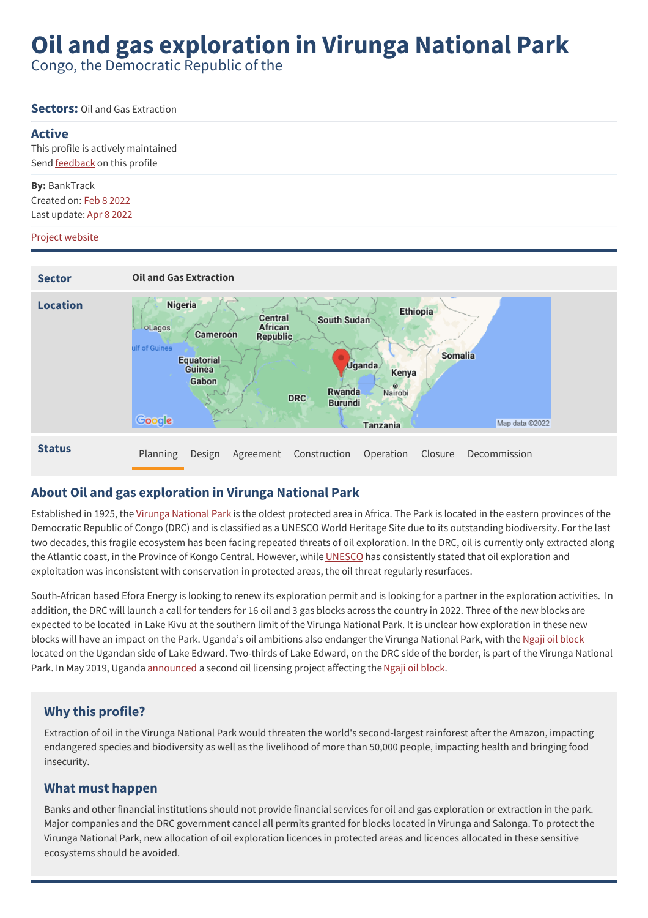# **Oil and gas exploration in Virunga National Park**

Congo, the Democratic Republic of the

#### **Sectors:** Oil and Gas Extraction

#### **Active**

This profile is actively maintained Send **[feedback](https://www.banktrack.org/feedback/dodgydeal/oil_exploration_virunga_national_park)** on this profile

**By:** BankTrack Created on: Feb 8 2022 Last update: Apr 8 2022

#### Project website



### **About Oil and gas exploration in Virunga National Park**

Established in 1925, the Virunga [National](http://world-heritage-datasheets.unep-wcmc.org/datasheet/output/site/virunga-national-park/) Park is the oldest protected area in Africa. The Park is located in the eastern provinces of the Democratic Republic of Congo (DRC) and is classified as a UNESCO World Heritage Site due to its outstanding biodiversity. For the last two decades, this fragile ecosystem has been facing repeated threats of oil exploration. In the DRC, oil is currently only extracted along the Atlantic coast, in the Province of Kongo Central. However, while [UNESCO](https://www.wwf.fr/vous-informer/actualites/parc-des-virunga-lunesco-met-en-garde-contre-les-activites-petrolieres) has consistently stated that oil exploration and exploitation was inconsistent with conservation in protected areas, the oil threat regularly resurfaces.

South-African based Efora Energy is looking to renew its exploration permit and is looking for a partner in the exploration activities. In addition, the DRC will launch a call for tenders for 16 oil and 3 gas blocks across the country in 2022. Three of the new blocks are expected to be located in Lake Kivu at the southern limit of the Virunga National Park. It is unclear how exploration in these new blocks will have an impact on the Park. Uganda's oil ambitions also endanger the Virunga National Park, with the Ngaji oil [block](https://unearthed.greenpeace.org/2016/02/04/uganda-oil-drilling-threatens-world-heritage-national-park/) located on the Ugandan side of Lake Edward. Two-thirds of Lake Edward, on the DRC side of the border, is part of the Virunga National Park. In May 2019, Uganda [announced](https://uiogs.com/en/licensing-round) a second oil licensing project affecting the Ngaji oil [block](https://savevirunga.com/2019/06/03/leave-ngaji-block-out-of-oil-licensing-protect-queen-elizabeth-np-and-virunga-landscape/).

### **Why this profile?**

Extraction of oil in the Virunga National Park would threaten the world's second-largest rainforest after the Amazon, impacting endangered species and biodiversity as well as the livelihood of more than 50,000 people, impacting health and bringing food insecurity.

#### **What must happen**

Banks and other financial institutions should not provide financial services for oil and gas exploration or extraction in the park. Major companies and the DRC government cancel all permits granted for blocks located in Virunga and Salonga. To protect the Virunga National Park, new allocation of oil exploration licences in protected areas and licences allocated in these sensitive ecosystems should be avoided.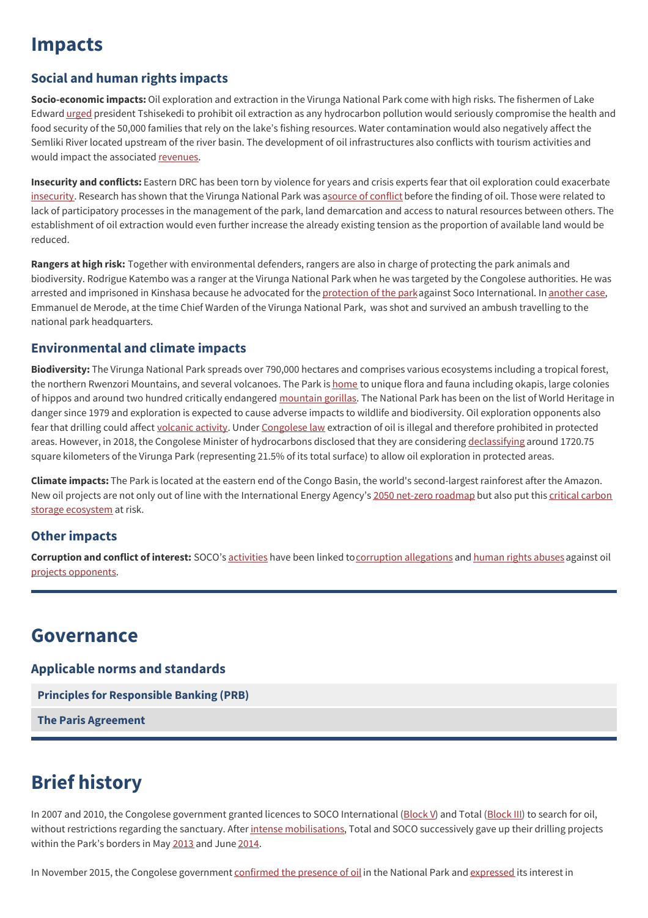## **Impacts**

### **Social and human rights impacts**

**Socio-economic impacts:** Oil exploration and extraction in the Virunga National Park come with high risks. The fishermen of Lake Edward [urged](https://desknature.com/rdc-les-pecheurs-individuels-du-lac-edouard-appellent-le-gouvernement-a-renoncer-a-toute-initiative-visant-lexploitation-du-petrole-dans-le-pnvi/) president Tshisekedi to prohibit oil extraction as any hydrocarbon pollution would seriously compromise the health and food security of the 50,000 families that rely on the lake's fishing resources. Water contamination would also negatively affect the Semliki River located upstream of the river basin. The development of oil infrastructures also conflicts with tourism activities and would impact the associated [revenues](https://www.radiookapi.net/2021/03/03/actualite/societe/rdc-le-parc-national-des-virunga-genere-plus-de-81-millions-usd-en-2020?fbclid=IwAR0Yu-Qtnpjcj_ZmCu1HCZIJnGReP6C20S-uPHIS_Om-m1AxSAP8LJnG67g/).

**Insecurity and conflicts:** Eastern DRC has been torn by violence for years and crisis experts fear that oil exploration could exacerbate [insecurity](https://www.crisisgroup.org/africa/central-africa/democratic-republic-congo/black-gold-congo-threat-stability-or-development-opportunity). Research has shown that the Virunga National Park was asource of [conflict](https://www.kpsrl.org/sites/default/files/2020-12/Virunga%20Report.pdf) before the finding of oil. Those were related to lack of participatory processes in the management of the park, land demarcation and access to natural resources between others. The establishment of oil extraction would even further increase the already existing tension as the proportion of available land would be reduced.

**Rangers at high risk:** Together with environmental defenders, rangers are also in charge of protecting the park animals and biodiversity. Rodrigue Katembo was a ranger at the Virunga National Park when he was targeted by the Congolese authorities. He was arrested and imprisoned in Kinshasa because he advocated for the [protection](https://www.sierraclub.org/sierra/what-its-be-environmental-defender-congo) of the parkagainst Soco International. In [another](https://www.synchronicityearth.org/violence-increasing-towards-environmental-human-rights-defenders/) case, Emmanuel de Merode, at the time Chief Warden of the Virunga National Park, was shot and survived an ambush travelling to the national park headquarters.

### **Environmental and climate impacts**

**Biodiversity:** The Virunga National Park spreads over 790,000 hectares and comprises various ecosystems including a tropical forest, the northern Rwenzori Mountains, and several volcanoes. The Park is [home](https://afrikavuka.org/keeping-up-the-fight-for-a-fossil-free-virunga/) to unique flora and fauna including okapis, large colonies of hippos and around two hundred critically endangered [mountain](https://www.worldwildlife.org/species/mountain-gorilla) gorillas. The National Park has been on the list of World Heritage in danger since 1979 and exploration is expected to cause adverse impacts to wildlife and biodiversity. Oil exploration opponents also fear that drilling could affect [volcanic](https://www.wwf.fr/sites/default/files/doc-2017-09/1307_rapport_valeur_economique_du_parc_national_des_virunga.pdf) activity. Under [Congolese](https://wwf.panda.org/discover/knowledge_hub/where_we_work/congo_basin_forests/oil_extraction/virunga_under_threat/) law extraction of oil is illegal and therefore prohibited in protected areas. However, in 2018, the Congolese Minister of hydrocarbons disclosed that they are considering [declassifying](https://www.bbc.com/news/world-africa-44662326) around 1720.75 square kilometers of the Virunga Park (representing 21.5% of its total surface) to allow oil exploration in protected areas.

**Climate impacts:** The Park is located at the eastern end of the Congo Basin, the world's second-largest rainforest after the Amazon. New oil projects are not only out of line with the [International](https://www.climatelinks.org/blog/counting-carbon-congo-basin) Energy Agency's 2050 net-zero [roadmap](https://www.iea.org/news/pathway-to-critical-and-formidable-goal-of-net-zero-emissions-by-2050-is-narrow-but-brings-huge-benefits) but also put this critical carbon storage ecosystem at risk.

### **Other impacts**

**Corruption and conflict of interest:** SOCO's [activities](https://www.globalwitness.org/en/campaigns/democratic-republic-congo/soco-virunga-chronology-accusations-denials-and-falsities/) have been linked t[ocorruption](https://cdn2.globalwitness.org/archive/files/drillers_in_the_mist.pdf) allegations and [human](https://www.hrw.org/news/2014/06/04/dr-congo-investigate-attacks-oil-project-critics) rights abuses against oil projects [opponents](https://www.bbc.com/news/world-africa-33079911).

### **Governance**

**Applicable norms and standards**

**Principles for [Responsible](http://www.unepfi.org/banking/bankingprinciples/) Banking (PRB)**

**The Paris [Agreement](https://unfccc.int/process-and-meetings/the-paris-agreement/the-paris-agreement)**

## **Brief history**

In 2007 and 2010, the Congolese government granted licences to SOCO International [\(Block](https://savevirunga.com/mapping-oil-threat/block-iii-last-update/) V) and Total (Block III) to search for oil, without restrictions regarding the sanctuary. After intense [mobilisations](https://www.jeuneafrique.com/depeches/29373/politique/wwf-saisit-locde-sur-les-risques-encourus-dans-le-parc-des-virunga/), Total and SOCO successively gave up their drilling projects within the Park's borders in May [2013](https://wwf.panda.org/wwf_news/?208901/Total-to-keep-out-of-Virunga-World-Heritage-Site) and June [2014](https://www.jeuneafrique.com/52354/politique/rdc-soco-va-mettre-un-terme-l-exploration-p-troli-re-dans-le-parc-des-virunga/).

In November 2015, the Congolese government [confirmed](https://www.voaafrique.com/a/rdc-il-y-a-du-petrole-sous-les-virunga-selon-des-tests-effectues-par-kinshasa/3044183.html) the presence of oil in the National Park and [expressed](https://www.bbc.com/news/world-africa-31876577) its interest in